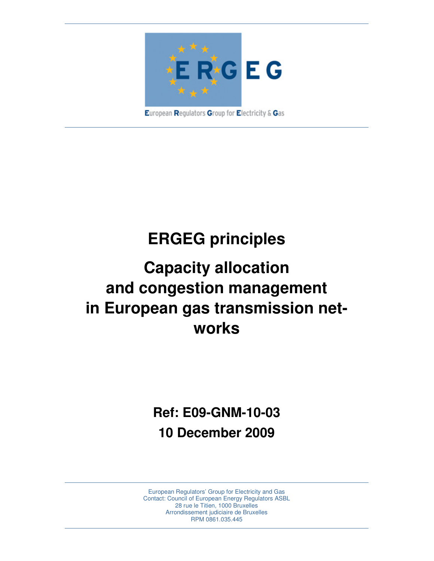

**ERGEG principles**

# **Capacity allocation and congestion management in European gas transmission networks**

**Ref: E09-GNM-10-03 10 December 2009** 

European Regulators' Group for Electricity and Gas Contact: Council of European Energy Regulators ASBL 28 rue le Titien, 1000 Bruxelles Arrondissement judiciaire de Bruxelles RPM 0861.035.445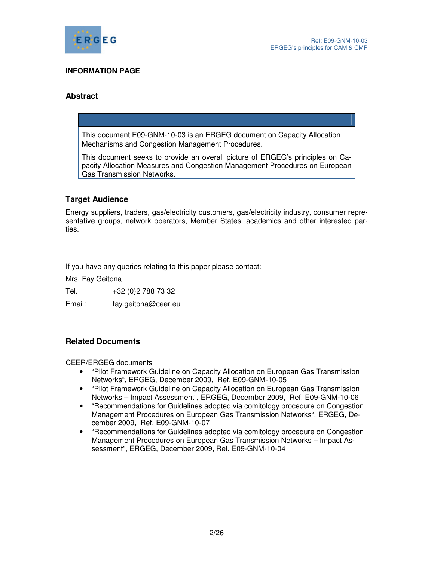

#### **INFORMATION PAGE**

# **Abstract**

This document E09-GNM-10-03 is an ERGEG document on Capacity Allocation Mechanisms and Congestion Management Procedures.

This document seeks to provide an overall picture of ERGEG's principles on Capacity Allocation Measures and Congestion Management Procedures on European Gas Transmission Networks.

## **Target Audience**

Energy suppliers, traders, gas/electricity customers, gas/electricity industry, consumer representative groups, network operators, Member States, academics and other interested parties.

If you have any queries relating to this paper please contact:

Mrs. Fay Geitona

Tel. +32 (0)2 788 73 32

Email: fay.geitona@ceer.eu

#### **Related Documents**

CEER/ERGEG documents

- "Pilot Framework Guideline on Capacity Allocation on European Gas Transmission Networks", ERGEG, December 2009, Ref. E09-GNM-10-05
- "Pilot Framework Guideline on Capacity Allocation on European Gas Transmission Networks – Impact Assessment", ERGEG, December 2009, Ref. E09-GNM-10-06
- "Recommendations for Guidelines adopted via comitology procedure on Congestion Management Procedures on European Gas Transmission Networks", ERGEG, December 2009, Ref. E09-GNM-10-07
- "Recommendations for Guidelines adopted via comitology procedure on Congestion Management Procedures on European Gas Transmission Networks – Impact Assessment", ERGEG, December 2009, Ref. E09-GNM-10-04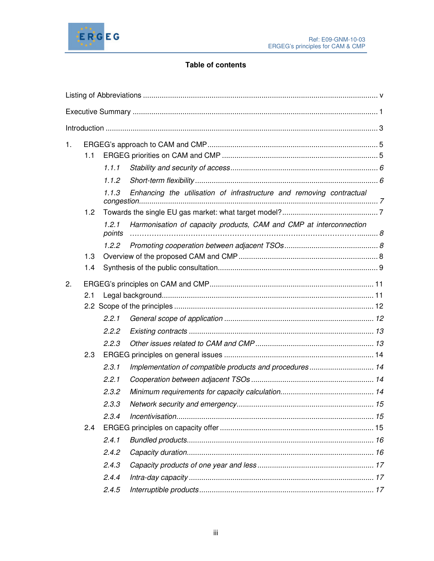



# Table of contents

| 1. | 1.1 |                 |                                                                      |  |  |  |  |
|----|-----|-----------------|----------------------------------------------------------------------|--|--|--|--|
|    |     | 1.1.1           |                                                                      |  |  |  |  |
|    |     | 1.1.2           |                                                                      |  |  |  |  |
|    |     | 1.1.3           | Enhancing the utilisation of infrastructure and removing contractual |  |  |  |  |
|    | 1.2 |                 |                                                                      |  |  |  |  |
|    |     | 1.2.1<br>points | Harmonisation of capacity products, CAM and CMP at interconnection   |  |  |  |  |
|    |     | 1.2.2           |                                                                      |  |  |  |  |
|    | 1.3 |                 |                                                                      |  |  |  |  |
|    | 1.4 |                 |                                                                      |  |  |  |  |
| 2. |     |                 |                                                                      |  |  |  |  |
|    | 2.1 |                 |                                                                      |  |  |  |  |
|    |     |                 |                                                                      |  |  |  |  |
|    |     | 2.2.1           |                                                                      |  |  |  |  |
|    |     | 2.2.2           |                                                                      |  |  |  |  |
|    |     | 2.2.3           |                                                                      |  |  |  |  |
|    | 2.3 | 2.3.1           |                                                                      |  |  |  |  |
|    |     | 2.2.1           | Implementation of compatible products and procedures 14              |  |  |  |  |
|    |     |                 |                                                                      |  |  |  |  |
|    |     | 2.3.2           |                                                                      |  |  |  |  |
|    |     | 2.3.3           |                                                                      |  |  |  |  |
|    |     | 2.3.4           |                                                                      |  |  |  |  |
|    | 2.4 | 2.4.1           |                                                                      |  |  |  |  |
|    |     | 2.4.2           |                                                                      |  |  |  |  |
|    |     |                 |                                                                      |  |  |  |  |
|    |     | 2.4.3           |                                                                      |  |  |  |  |
|    |     | 2.4.4           |                                                                      |  |  |  |  |
|    |     | 2.4.5           |                                                                      |  |  |  |  |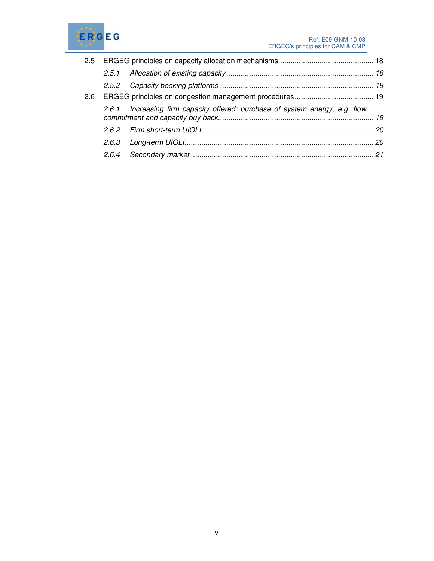

|  | 2.6.1 Increasing firm capacity offered: purchase of system energy, e.g. flow |  |
|--|------------------------------------------------------------------------------|--|
|  |                                                                              |  |
|  |                                                                              |  |
|  |                                                                              |  |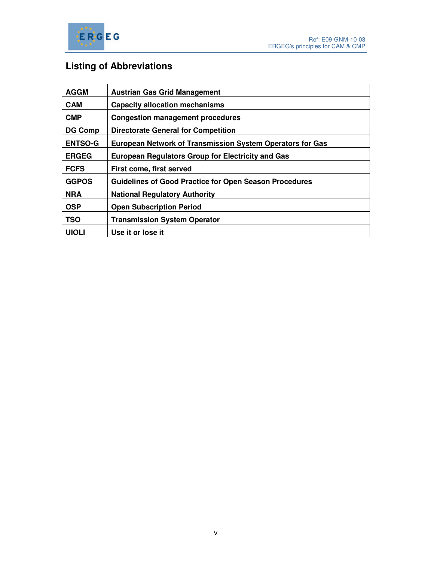

# **Listing of Abbreviations**

| <b>AGGM</b>    | <b>Austrian Gas Grid Management</b>                              |
|----------------|------------------------------------------------------------------|
| <b>CAM</b>     | <b>Capacity allocation mechanisms</b>                            |
| <b>CMP</b>     | <b>Congestion management procedures</b>                          |
| <b>DG Comp</b> | <b>Directorate General for Competition</b>                       |
| <b>ENTSO-G</b> | <b>European Network of Transmission System Operators for Gas</b> |
| <b>ERGEG</b>   | <b>European Regulators Group for Electricity and Gas</b>         |
| <b>FCFS</b>    | First come, first served                                         |
| <b>GGPOS</b>   | <b>Guidelines of Good Practice for Open Season Procedures</b>    |
| <b>NRA</b>     | <b>National Regulatory Authority</b>                             |
| <b>OSP</b>     | <b>Open Subscription Period</b>                                  |
| <b>TSO</b>     | <b>Transmission System Operator</b>                              |
| <b>UIOLI</b>   | Use it or lose it                                                |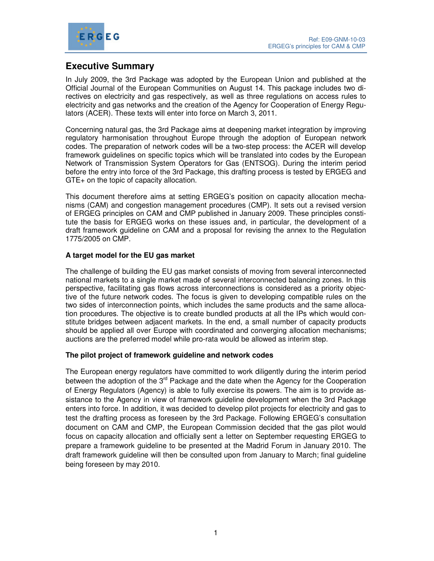



# **Executive Summary**

In July 2009, the 3rd Package was adopted by the European Union and published at the Official Journal of the European Communities on August 14. This package includes two directives on electricity and gas respectively, as well as three regulations on access rules to electricity and gas networks and the creation of the Agency for Cooperation of Energy Regulators (ACER). These texts will enter into force on March 3, 2011.

Concerning natural gas, the 3rd Package aims at deepening market integration by improving regulatory harmonisation throughout Europe through the adoption of European network codes. The preparation of network codes will be a two-step process: the ACER will develop framework guidelines on specific topics which will be translated into codes by the European Network of Transmission System Operators for Gas (ENTSOG). During the interim period before the entry into force of the 3rd Package, this drafting process is tested by ERGEG and GTE+ on the topic of capacity allocation.

This document therefore aims at setting ERGEG's position on capacity allocation mechanisms (CAM) and congestion management procedures (CMP). It sets out a revised version of ERGEG principles on CAM and CMP published in January 2009. These principles constitute the basis for ERGEG works on these issues and, in particular, the development of a draft framework guideline on CAM and a proposal for revising the annex to the Regulation 1775/2005 on CMP.

#### **A target model for the EU gas market**

The challenge of building the EU gas market consists of moving from several interconnected national markets to a single market made of several interconnected balancing zones. In this perspective, facilitating gas flows across interconnections is considered as a priority objective of the future network codes. The focus is given to developing compatible rules on the two sides of interconnection points, which includes the same products and the same allocation procedures. The objective is to create bundled products at all the IPs which would constitute bridges between adjacent markets. In the end, a small number of capacity products should be applied all over Europe with coordinated and converging allocation mechanisms; auctions are the preferred model while pro-rata would be allowed as interim step.

#### **The pilot project of framework guideline and network codes**

The European energy regulators have committed to work diligently during the interim period between the adoption of the  $3<sup>rd</sup>$  Package and the date when the Agency for the Cooperation of Energy Regulators (Agency) is able to fully exercise its powers. The aim is to provide assistance to the Agency in view of framework guideline development when the 3rd Package enters into force. In addition, it was decided to develop pilot projects for electricity and gas to test the drafting process as foreseen by the 3rd Package. Following ERGEG's consultation document on CAM and CMP, the European Commission decided that the gas pilot would focus on capacity allocation and officially sent a letter on September requesting ERGEG to prepare a framework guideline to be presented at the Madrid Forum in January 2010. The draft framework guideline will then be consulted upon from January to March; final guideline being foreseen by may 2010.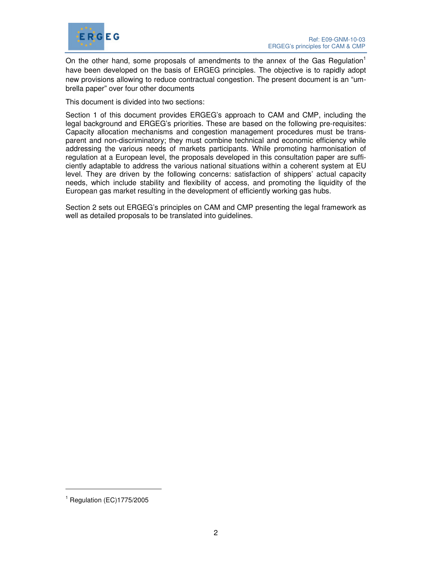

On the other hand, some proposals of amendments to the annex of the Gas Regulation<sup>1</sup> have been developed on the basis of ERGEG principles. The objective is to rapidly adopt new provisions allowing to reduce contractual congestion. The present document is an "umbrella paper" over four other documents

This document is divided into two sections:

Section 1 of this document provides ERGEG's approach to CAM and CMP, including the legal background and ERGEG's priorities. These are based on the following pre-requisites: Capacity allocation mechanisms and congestion management procedures must be transparent and non-discriminatory; they must combine technical and economic efficiency while addressing the various needs of markets participants. While promoting harmonisation of regulation at a European level, the proposals developed in this consultation paper are sufficiently adaptable to address the various national situations within a coherent system at EU level. They are driven by the following concerns: satisfaction of shippers' actual capacity needs, which include stability and flexibility of access, and promoting the liquidity of the European gas market resulting in the development of efficiently working gas hubs.

Section 2 sets out ERGEG's principles on CAM and CMP presenting the legal framework as well as detailed proposals to be translated into guidelines.

-

<sup>1</sup> Regulation (EC)1775/2005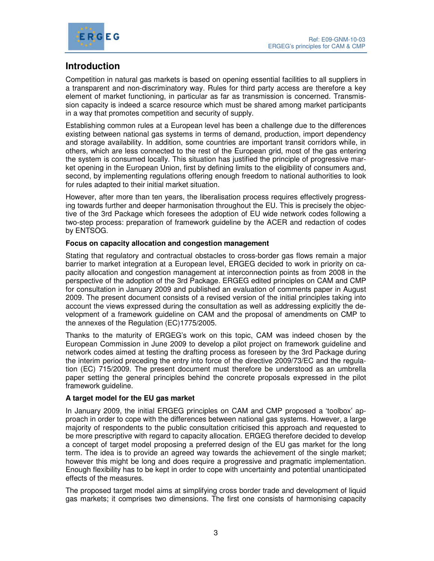

# **Introduction**

Competition in natural gas markets is based on opening essential facilities to all suppliers in a transparent and non-discriminatory way. Rules for third party access are therefore a key element of market functioning, in particular as far as transmission is concerned. Transmission capacity is indeed a scarce resource which must be shared among market participants in a way that promotes competition and security of supply.

Establishing common rules at a European level has been a challenge due to the differences existing between national gas systems in terms of demand, production, import dependency and storage availability. In addition, some countries are important transit corridors while, in others, which are less connected to the rest of the European grid, most of the gas entering the system is consumed locally. This situation has justified the principle of progressive market opening in the European Union, first by defining limits to the eligibility of consumers and, second, by implementing regulations offering enough freedom to national authorities to look for rules adapted to their initial market situation.

However, after more than ten years, the liberalisation process requires effectively progressing towards further and deeper harmonisation throughout the EU. This is precisely the objective of the 3rd Package which foresees the adoption of EU wide network codes following a two-step process: preparation of framework guideline by the ACER and redaction of codes by ENTSOG.

#### **Focus on capacity allocation and congestion management**

Stating that regulatory and contractual obstacles to cross-border gas flows remain a major barrier to market integration at a European level, ERGEG decided to work in priority on capacity allocation and congestion management at interconnection points as from 2008 in the perspective of the adoption of the 3rd Package. ERGEG edited principles on CAM and CMP for consultation in January 2009 and published an evaluation of comments paper in August 2009. The present document consists of a revised version of the initial principles taking into account the views expressed during the consultation as well as addressing explicitly the development of a framework guideline on CAM and the proposal of amendments on CMP to the annexes of the Regulation (EC)1775/2005.

Thanks to the maturity of ERGEG's work on this topic, CAM was indeed chosen by the European Commission in June 2009 to develop a pilot project on framework guideline and network codes aimed at testing the drafting process as foreseen by the 3rd Package during the interim period preceding the entry into force of the directive 2009/73/EC and the regulation (EC) 715/2009. The present document must therefore be understood as an umbrella paper setting the general principles behind the concrete proposals expressed in the pilot framework guideline.

#### **A target model for the EU gas market**

In January 2009, the initial ERGEG principles on CAM and CMP proposed a 'toolbox' approach in order to cope with the differences between national gas systems. However, a large majority of respondents to the public consultation criticised this approach and requested to be more prescriptive with regard to capacity allocation. ERGEG therefore decided to develop a concept of target model proposing a preferred design of the EU gas market for the long term. The idea is to provide an agreed way towards the achievement of the single market; however this might be long and does require a progressive and pragmatic implementation. Enough flexibility has to be kept in order to cope with uncertainty and potential unanticipated effects of the measures.

The proposed target model aims at simplifying cross border trade and development of liquid gas markets; it comprises two dimensions. The first one consists of harmonising capacity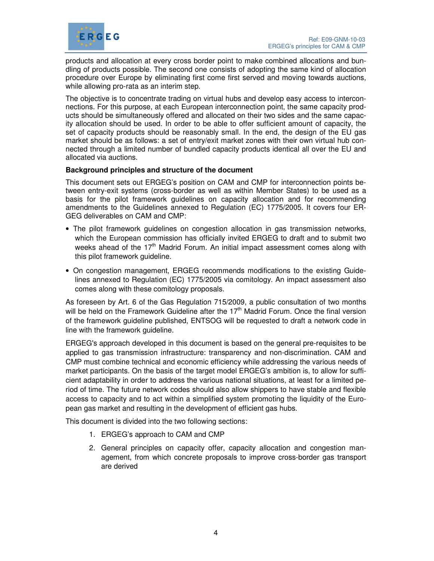

products and allocation at every cross border point to make combined allocations and bundling of products possible. The second one consists of adopting the same kind of allocation procedure over Europe by eliminating first come first served and moving towards auctions, while allowing pro-rata as an interim step.

The objective is to concentrate trading on virtual hubs and develop easy access to interconnections. For this purpose, at each European interconnection point, the same capacity products should be simultaneously offered and allocated on their two sides and the same capacity allocation should be used. In order to be able to offer sufficient amount of capacity, the set of capacity products should be reasonably small. In the end, the design of the EU gas market should be as follows: a set of entry/exit market zones with their own virtual hub connected through a limited number of bundled capacity products identical all over the EU and allocated via auctions.

#### **Background principles and structure of the document**

This document sets out ERGEG's position on CAM and CMP for interconnection points between entry-exit systems (cross-border as well as within Member States) to be used as a basis for the pilot framework guidelines on capacity allocation and for recommending amendments to the Guidelines annexed to Regulation (EC) 1775/2005. It covers four ER-GEG deliverables on CAM and CMP:

- The pilot framework guidelines on congestion allocation in gas transmission networks, which the European commission has officially invited ERGEG to draft and to submit two weeks ahead of the  $17<sup>th</sup>$  Madrid Forum. An initial impact assessment comes along with this pilot framework guideline.
- On congestion management, ERGEG recommends modifications to the existing Guidelines annexed to Regulation (EC) 1775/2005 via comitology. An impact assessment also comes along with these comitology proposals.

As foreseen by Art. 6 of the Gas Regulation 715/2009, a public consultation of two months will be held on the Framework Guideline after the 17<sup>th</sup> Madrid Forum. Once the final version of the framework guideline published, ENTSOG will be requested to draft a network code in line with the framework guideline.

ERGEG's approach developed in this document is based on the general pre-requisites to be applied to gas transmission infrastructure: transparency and non-discrimination. CAM and CMP must combine technical and economic efficiency while addressing the various needs of market participants. On the basis of the target model ERGEG's ambition is, to allow for sufficient adaptability in order to address the various national situations, at least for a limited period of time. The future network codes should also allow shippers to have stable and flexible access to capacity and to act within a simplified system promoting the liquidity of the European gas market and resulting in the development of efficient gas hubs.

This document is divided into the two following sections:

- 1. ERGEG's approach to CAM and CMP
- 2. General principles on capacity offer, capacity allocation and congestion management, from which concrete proposals to improve cross-border gas transport are derived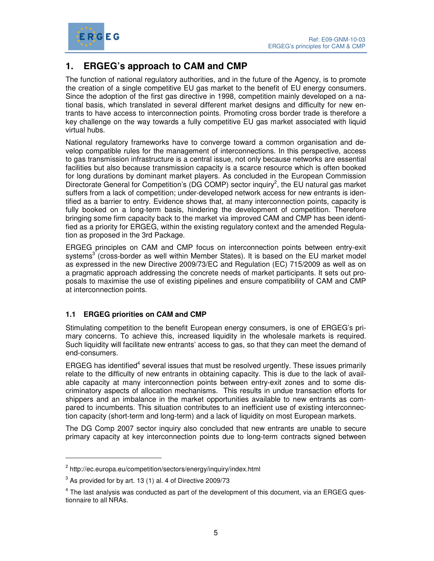

# **1. ERGEG's approach to CAM and CMP**

The function of national regulatory authorities, and in the future of the Agency, is to promote the creation of a single competitive EU gas market to the benefit of EU energy consumers. Since the adoption of the first gas directive in 1998, competition mainly developed on a national basis, which translated in several different market designs and difficulty for new entrants to have access to interconnection points. Promoting cross border trade is therefore a key challenge on the way towards a fully competitive EU gas market associated with liquid virtual hubs.

National regulatory frameworks have to converge toward a common organisation and develop compatible rules for the management of interconnections. In this perspective, access to gas transmission infrastructure is a central issue, not only because networks are essential facilities but also because transmission capacity is a scarce resource which is often booked for long durations by dominant market players. As concluded in the European Commission Directorate General for Competition's (DG COMP) sector inquiry<sup>2</sup>, the EU natural gas market suffers from a lack of competition; under-developed network access for new entrants is identified as a barrier to entry. Evidence shows that, at many interconnection points, capacity is fully booked on a long-term basis, hindering the development of competition. Therefore bringing some firm capacity back to the market via improved CAM and CMP has been identified as a priority for ERGEG, within the existing regulatory context and the amended Regulation as proposed in the 3rd Package.

ERGEG principles on CAM and CMP focus on interconnection points between entry-exit systems<sup>3</sup> (cross-border as well within Member States). It is based on the EU market model as expressed in the new Directive 2009/73/EC and Regulation (EC) 715/2009 as well as on a pragmatic approach addressing the concrete needs of market participants. It sets out proposals to maximise the use of existing pipelines and ensure compatibility of CAM and CMP at interconnection points.

# **1.1 ERGEG priorities on CAM and CMP**

Stimulating competition to the benefit European energy consumers, is one of ERGEG's primary concerns. To achieve this, increased liquidity in the wholesale markets is required. Such liquidity will facilitate new entrants' access to gas, so that they can meet the demand of end-consumers.

ERGEG has identified<sup>4</sup> several issues that must be resolved urgently. These issues primarily relate to the difficulty of new entrants in obtaining capacity. This is due to the lack of available capacity at many interconnection points between entry-exit zones and to some discriminatory aspects of allocation mechanisms. This results in undue transaction efforts for shippers and an imbalance in the market opportunities available to new entrants as compared to incumbents. This situation contributes to an inefficient use of existing interconnection capacity (short-term and long-term) and a lack of liquidity on most European markets.

The DG Comp 2007 sector inquiry also concluded that new entrants are unable to secure primary capacity at key interconnection points due to long-term contracts signed between

-

<sup>&</sup>lt;sup>2</sup> http://ec.europa.eu/competition/sectors/energy/inquiry/index.html

 $3$  As provided for by art. 13 (1) al. 4 of Directive 2009/73

 $^4$  The last analysis was conducted as part of the development of this document, via an ERGEG questionnaire to all NRAs.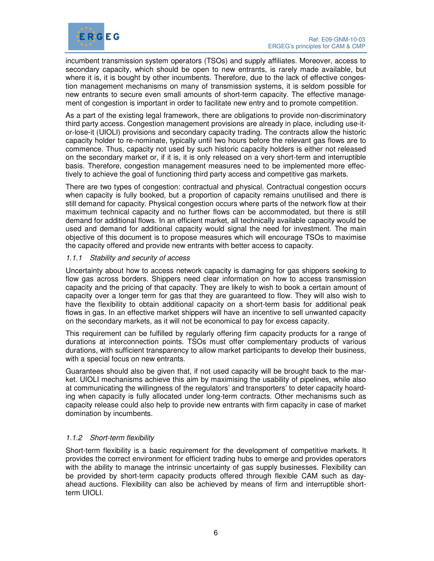

incumbent transmission system operators (TSOs) and supply affiliates. Moreover, access to secondary capacity, which should be open to new entrants, is rarely made available, but where it is, it is bought by other incumbents. Therefore, due to the lack of effective congestion management mechanisms on many of transmission systems, it is seldom possible for new entrants to secure even small amounts of short-term capacity. The effective management of congestion is important in order to facilitate new entry and to promote competition.

As a part of the existing legal framework, there are obligations to provide non-discriminatory third party access. Congestion management provisions are already in place, including use-itor-lose-it (UIOLI) provisions and secondary capacity trading. The contracts allow the historic capacity holder to re-nominate, typically until two hours before the relevant gas flows are to commence. Thus, capacity not used by such historic capacity holders is either not released on the secondary market or, if it is, it is only released on a very short-term and interruptible basis. Therefore, congestion management measures need to be implemented more effectively to achieve the goal of functioning third party access and competitive gas markets.

There are two types of congestion: contractual and physical. Contractual congestion occurs when capacity is fully booked, but a proportion of capacity remains unutilised and there is still demand for capacity. Physical congestion occurs where parts of the network flow at their maximum technical capacity and no further flows can be accommodated, but there is still demand for additional flows. In an efficient market, all technically available capacity would be used and demand for additional capacity would signal the need for investment. The main objective of this document is to propose measures which will encourage TSOs to maximise the capacity offered and provide new entrants with better access to capacity.

#### 1.1.1 Stability and security of access

Uncertainty about how to access network capacity is damaging for gas shippers seeking to flow gas across borders. Shippers need clear information on how to access transmission capacity and the pricing of that capacity. They are likely to wish to book a certain amount of capacity over a longer term for gas that they are guaranteed to flow. They will also wish to have the flexibility to obtain additional capacity on a short-term basis for additional peak flows in gas. In an effective market shippers will have an incentive to sell unwanted capacity on the secondary markets, as it will not be economical to pay for excess capacity.

This requirement can be fulfilled by regularly offering firm capacity products for a range of durations at interconnection points. TSOs must offer complementary products of various durations, with sufficient transparency to allow market participants to develop their business, with a special focus on new entrants.

Guarantees should also be given that, if not used capacity will be brought back to the market. UIOLI mechanisms achieve this aim by maximising the usability of pipelines, while also at communicating the willingness of the regulators' and transporters' to deter capacity hoarding when capacity is fully allocated under long-term contracts. Other mechanisms such as capacity release could also help to provide new entrants with firm capacity in case of market domination by incumbents.

#### 1.1.2 Short-term flexibility

Short-term flexibility is a basic requirement for the development of competitive markets. It provides the correct environment for efficient trading hubs to emerge and provides operators with the ability to manage the intrinsic uncertainty of gas supply businesses. Flexibility can be provided by short-term capacity products offered through flexible CAM such as dayahead auctions. Flexibility can also be achieved by means of firm and interruptible shortterm UIOLI.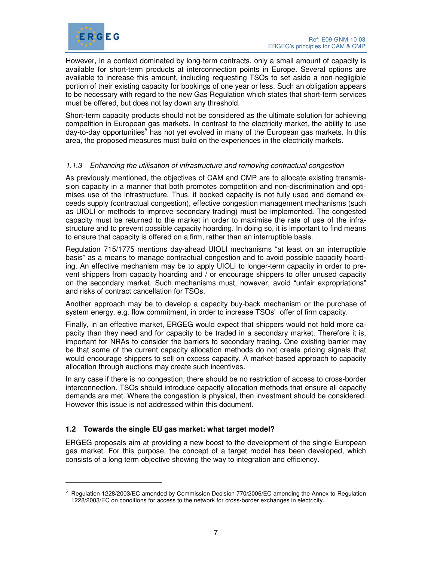

However, in a context dominated by long-term contracts, only a small amount of capacity is available for short-term products at interconnection points in Europe. Several options are available to increase this amount, including requesting TSOs to set aside a non-negligible portion of their existing capacity for bookings of one year or less. Such an obligation appears to be necessary with regard to the new Gas Regulation which states that short-term services must be offered, but does not lay down any threshold.

Short-term capacity products should not be considered as the ultimate solution for achieving competition in European gas markets. In contrast to the electricity market, the ability to use day-to-day opportunities<sup>5</sup> has not yet evolved in many of the European gas markets. In this area, the proposed measures must build on the experiences in the electricity markets.

#### 1.1.3 Enhancing the utilisation of infrastructure and removing contractual congestion

As previously mentioned, the objectives of CAM and CMP are to allocate existing transmission capacity in a manner that both promotes competition and non-discrimination and optimises use of the infrastructure. Thus, if booked capacity is not fully used and demand exceeds supply (contractual congestion), effective congestion management mechanisms (such as UIOLI or methods to improve secondary trading) must be implemented. The congested capacity must be returned to the market in order to maximise the rate of use of the infrastructure and to prevent possible capacity hoarding. In doing so, it is important to find means to ensure that capacity is offered on a firm, rather than an interruptible basis.

Regulation 715/1775 mentions day-ahead UIOLI mechanisms "at least on an interruptible basis" as a means to manage contractual congestion and to avoid possible capacity hoarding. An effective mechanism may be to apply UIOLI to longer-term capacity in order to prevent shippers from capacity hoarding and / or encourage shippers to offer unused capacity on the secondary market. Such mechanisms must, however, avoid "unfair expropriations" and risks of contract cancellation for TSOs.

Another approach may be to develop a capacity buy-back mechanism or the purchase of system energy, e.g. flow commitment, in order to increase TSOs' offer of firm capacity.

Finally, in an effective market, ERGEG would expect that shippers would not hold more capacity than they need and for capacity to be traded in a secondary market. Therefore it is, important for NRAs to consider the barriers to secondary trading. One existing barrier may be that some of the current capacity allocation methods do not create pricing signals that would encourage shippers to sell on excess capacity. A market-based approach to capacity allocation through auctions may create such incentives.

In any case if there is no congestion, there should be no restriction of access to cross-border interconnection. TSOs should introduce capacity allocation methods that ensure all capacity demands are met. Where the congestion is physical, then investment should be considered. However this issue is not addressed within this document.

#### **1.2 Towards the single EU gas market: what target model?**

 $\overline{a}$ 

ERGEG proposals aim at providing a new boost to the development of the single European gas market. For this purpose, the concept of a target model has been developed, which consists of a long term objective showing the way to integration and efficiency.

<sup>5</sup> Regulation 1228/2003/EC amended by Commission Decision 770/2006/EC amending the Annex to Regulation 1228/2003/EC on conditions for access to the network for cross-border exchanges in electricity.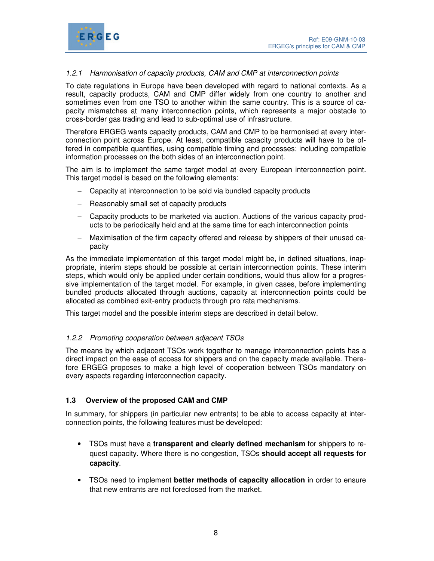

# 1.2.1 Harmonisation of capacity products, CAM and CMP at interconnection points

To date regulations in Europe have been developed with regard to national contexts. As a result, capacity products, CAM and CMP differ widely from one country to another and sometimes even from one TSO to another within the same country. This is a source of capacity mismatches at many interconnection points, which represents a major obstacle to cross-border gas trading and lead to sub-optimal use of infrastructure.

Therefore ERGEG wants capacity products, CAM and CMP to be harmonised at every interconnection point across Europe. At least, compatible capacity products will have to be offered in compatible quantities, using compatible timing and processes; including compatible information processes on the both sides of an interconnection point.

The aim is to implement the same target model at every European interconnection point. This target model is based on the following elements:

- − Capacity at interconnection to be sold via bundled capacity products
- − Reasonably small set of capacity products
- − Capacity products to be marketed via auction. Auctions of the various capacity products to be periodically held and at the same time for each interconnection points
- − Maximisation of the firm capacity offered and release by shippers of their unused capacity

As the immediate implementation of this target model might be, in defined situations, inappropriate, interim steps should be possible at certain interconnection points. These interim steps, which would only be applied under certain conditions, would thus allow for a progressive implementation of the target model. For example, in given cases, before implementing bundled products allocated through auctions, capacity at interconnection points could be allocated as combined exit-entry products through pro rata mechanisms.

This target model and the possible interim steps are described in detail below.

#### 1.2.2 Promoting cooperation between adjacent TSOs

The means by which adjacent TSOs work together to manage interconnection points has a direct impact on the ease of access for shippers and on the capacity made available. Therefore ERGEG proposes to make a high level of cooperation between TSOs mandatory on every aspects regarding interconnection capacity.

#### **1.3 Overview of the proposed CAM and CMP**

In summary, for shippers (in particular new entrants) to be able to access capacity at interconnection points, the following features must be developed:

- TSOs must have a **transparent and clearly defined mechanism** for shippers to request capacity. Where there is no congestion, TSOs **should accept all requests for capacity**.
- TSOs need to implement **better methods of capacity allocation** in order to ensure that new entrants are not foreclosed from the market.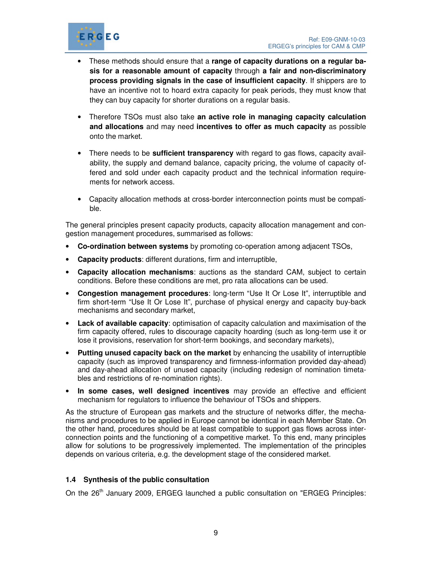

- These methods should ensure that a **range of capacity durations on a regular basis for a reasonable amount of capacity** through **a fair and non-discriminatory process providing signals in the case of insufficient capacity**. If shippers are to have an incentive not to hoard extra capacity for peak periods, they must know that they can buy capacity for shorter durations on a regular basis.
- Therefore TSOs must also take **an active role in managing capacity calculation and allocations** and may need **incentives to offer as much capacity** as possible onto the market.
- There needs to be **sufficient transparency** with regard to gas flows, capacity availability, the supply and demand balance, capacity pricing, the volume of capacity offered and sold under each capacity product and the technical information requirements for network access.
- Capacity allocation methods at cross-border interconnection points must be compatible.

The general principles present capacity products, capacity allocation management and congestion management procedures, summarised as follows:

- **Co-ordination between systems** by promoting co-operation among adjacent TSOs,
- **Capacity products**: different durations, firm and interruptible,
- **Capacity allocation mechanisms**: auctions as the standard CAM, subject to certain conditions. Before these conditions are met, pro rata allocations can be used.
- **Congestion management procedures**: long-term "Use It Or Lose It", interruptible and firm short-term "Use It Or Lose It", purchase of physical energy and capacity buy-back mechanisms and secondary market,
- **Lack of available capacity**: optimisation of capacity calculation and maximisation of the firm capacity offered, rules to discourage capacity hoarding (such as long-term use it or lose it provisions, reservation for short-term bookings, and secondary markets),
- **Putting unused capacity back on the market** by enhancing the usability of interruptible capacity (such as improved transparency and firmness-information provided day-ahead) and day-ahead allocation of unused capacity (including redesign of nomination timetables and restrictions of re-nomination rights).
- **In some cases, well designed incentives** may provide an effective and efficient mechanism for regulators to influence the behaviour of TSOs and shippers.

As the structure of European gas markets and the structure of networks differ, the mechanisms and procedures to be applied in Europe cannot be identical in each Member State. On the other hand, procedures should be at least compatible to support gas flows across interconnection points and the functioning of a competitive market. To this end, many principles allow for solutions to be progressively implemented. The implementation of the principles depends on various criteria, e.g. the development stage of the considered market.

# **1.4 Synthesis of the public consultation**

On the  $26<sup>th</sup>$  January 2009, ERGEG launched a public consultation on "ERGEG Principles: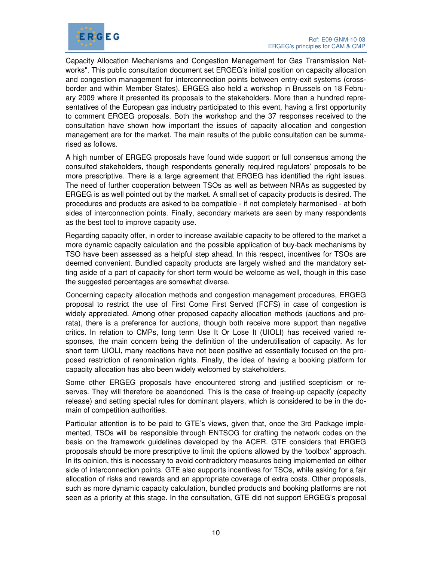

Capacity Allocation Mechanisms and Congestion Management for Gas Transmission Networks". This public consultation document set ERGEG's initial position on capacity allocation and congestion management for interconnection points between entry-exit systems (crossborder and within Member States). ERGEG also held a workshop in Brussels on 18 February 2009 where it presented its proposals to the stakeholders. More than a hundred representatives of the European gas industry participated to this event, having a first opportunity to comment ERGEG proposals. Both the workshop and the 37 responses received to the consultation have shown how important the issues of capacity allocation and congestion management are for the market. The main results of the public consultation can be summarised as follows.

A high number of ERGEG proposals have found wide support or full consensus among the consulted stakeholders, though respondents generally required regulators' proposals to be more prescriptive. There is a large agreement that ERGEG has identified the right issues. The need of further cooperation between TSOs as well as between NRAs as suggested by ERGEG is as well pointed out by the market. A small set of capacity products is desired. The procedures and products are asked to be compatible - if not completely harmonised - at both sides of interconnection points. Finally, secondary markets are seen by many respondents as the best tool to improve capacity use.

Regarding capacity offer, in order to increase available capacity to be offered to the market a more dynamic capacity calculation and the possible application of buy-back mechanisms by TSO have been assessed as a helpful step ahead. In this respect, incentives for TSOs are deemed convenient. Bundled capacity products are largely wished and the mandatory setting aside of a part of capacity for short term would be welcome as well, though in this case the suggested percentages are somewhat diverse.

Concerning capacity allocation methods and congestion management procedures, ERGEG proposal to restrict the use of First Come First Served (FCFS) in case of congestion is widely appreciated. Among other proposed capacity allocation methods (auctions and prorata), there is a preference for auctions, though both receive more support than negative critics. In relation to CMPs, long term Use It Or Lose It (UIOLI) has received varied responses, the main concern being the definition of the underutilisation of capacity. As for short term UIOLI, many reactions have not been positive ad essentially focused on the proposed restriction of renomination rights. Finally, the idea of having a booking platform for capacity allocation has also been widely welcomed by stakeholders.

Some other ERGEG proposals have encountered strong and justified scepticism or reserves. They will therefore be abandoned. This is the case of freeing-up capacity (capacity release) and setting special rules for dominant players, which is considered to be in the domain of competition authorities.

Particular attention is to be paid to GTE's views, given that, once the 3rd Package implemented, TSOs will be responsible through ENTSOG for drafting the network codes on the basis on the framework guidelines developed by the ACER. GTE considers that ERGEG proposals should be more prescriptive to limit the options allowed by the 'toolbox' approach. In its opinion, this is necessary to avoid contradictory measures being implemented on either side of interconnection points. GTE also supports incentives for TSOs, while asking for a fair allocation of risks and rewards and an appropriate coverage of extra costs. Other proposals, such as more dynamic capacity calculation, bundled products and booking platforms are not seen as a priority at this stage. In the consultation, GTE did not support ERGEG's proposal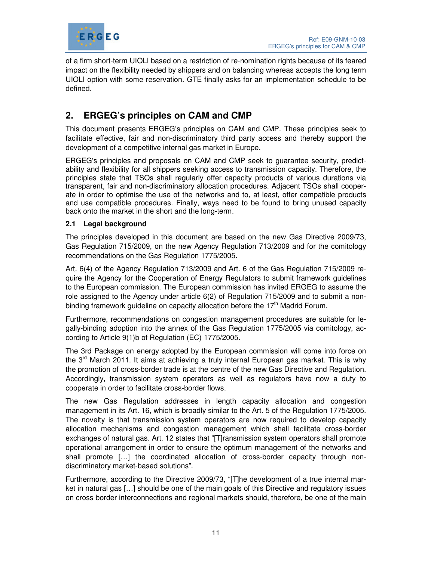

of a firm short-term UIOLI based on a restriction of re-nomination rights because of its feared impact on the flexibility needed by shippers and on balancing whereas accepts the long term UIOLI option with some reservation. GTE finally asks for an implementation schedule to be defined.

# **2. ERGEG's principles on CAM and CMP**

This document presents ERGEG's principles on CAM and CMP. These principles seek to facilitate effective, fair and non-discriminatory third party access and thereby support the development of a competitive internal gas market in Europe.

ERGEG's principles and proposals on CAM and CMP seek to guarantee security, predictability and flexibility for all shippers seeking access to transmission capacity. Therefore, the principles state that TSOs shall regularly offer capacity products of various durations via transparent, fair and non-discriminatory allocation procedures. Adjacent TSOs shall cooperate in order to optimise the use of the networks and to, at least, offer compatible products and use compatible procedures. Finally, ways need to be found to bring unused capacity back onto the market in the short and the long-term.

## **2.1 Legal background**

The principles developed in this document are based on the new Gas Directive 2009/73, Gas Regulation 715/2009, on the new Agency Regulation 713/2009 and for the comitology recommendations on the Gas Regulation 1775/2005.

Art. 6(4) of the Agency Regulation 713/2009 and Art. 6 of the Gas Regulation 715/2009 require the Agency for the Cooperation of Energy Regulators to submit framework guidelines to the European commission. The European commission has invited ERGEG to assume the role assigned to the Agency under article 6(2) of Regulation 715/2009 and to submit a nonbinding framework guideline on capacity allocation before the  $17<sup>th</sup>$  Madrid Forum.

Furthermore, recommendations on congestion management procedures are suitable for legally-binding adoption into the annex of the Gas Regulation 1775/2005 via comitology, according to Article 9(1)b of Regulation (EC) 1775/2005.

The 3rd Package on energy adopted by the European commission will come into force on the 3<sup>rd</sup> March 2011. It aims at achieving a truly internal European gas market. This is why the promotion of cross-border trade is at the centre of the new Gas Directive and Regulation. Accordingly, transmission system operators as well as regulators have now a duty to cooperate in order to facilitate cross-border flows.

The new Gas Regulation addresses in length capacity allocation and congestion management in its Art. 16, which is broadly similar to the Art. 5 of the Regulation 1775/2005. The novelty is that transmission system operators are now required to develop capacity allocation mechanisms and congestion management which shall facilitate cross-border exchanges of natural gas. Art. 12 states that "[T]ransmission system operators shall promote operational arrangement in order to ensure the optimum management of the networks and shall promote […] the coordinated allocation of cross-border capacity through nondiscriminatory market-based solutions".

Furthermore, according to the Directive 2009/73, "[T]he development of a true internal market in natural gas […] should be one of the main goals of this Directive and regulatory issues on cross border interconnections and regional markets should, therefore, be one of the main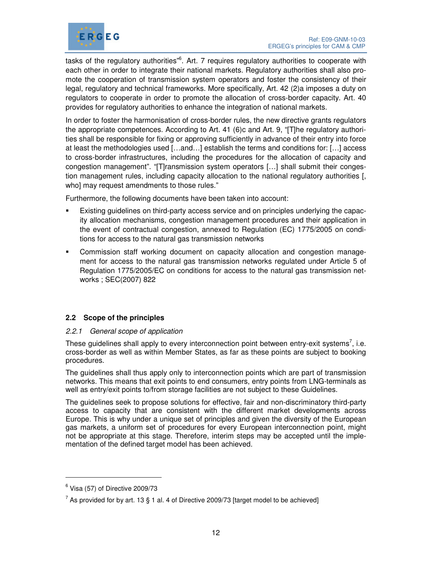

tasks of the regulatory authorities"<sup>6</sup>. Art. 7 requires regulatory authorities to cooperate with each other in order to integrate their national markets. Regulatory authorities shall also promote the cooperation of transmission system operators and foster the consistency of their legal, regulatory and technical frameworks. More specifically, Art. 42 (2)a imposes a duty on regulators to cooperate in order to promote the allocation of cross-border capacity. Art. 40 provides for regulatory authorities to enhance the integration of national markets.

In order to foster the harmonisation of cross-border rules, the new directive grants regulators the appropriate competences. According to Art. 41 (6)c and Art. 9, "[T]he regulatory authorities shall be responsible for fixing or approving sufficiently in advance of their entry into force at least the methodologies used […and…] establish the terms and conditions for: […] access to cross-border infrastructures, including the procedures for the allocation of capacity and congestion management". "[T]ransmission system operators […] shall submit their congestion management rules, including capacity allocation to the national regulatory authorities [, who] may request amendments to those rules."

Furthermore, the following documents have been taken into account:

- Existing guidelines on third-party access service and on principles underlying the capacity allocation mechanisms, congestion management procedures and their application in the event of contractual congestion, annexed to Regulation (EC) 1775/2005 on conditions for access to the natural gas transmission networks
- Commission staff working document on capacity allocation and congestion management for access to the natural gas transmission networks regulated under Article 5 of Regulation 1775/2005/EC on conditions for access to the natural gas transmission networks ; SEC(2007) 822

#### **2.2 Scope of the principles**

#### 2.2.1 General scope of application

These guidelines shall apply to every interconnection point between entry-exit systems<sup>7</sup>, i.e. cross-border as well as within Member States, as far as these points are subject to booking procedures.

The guidelines shall thus apply only to interconnection points which are part of transmission networks. This means that exit points to end consumers, entry points from LNG-terminals as well as entry/exit points to/from storage facilities are not subject to these Guidelines.

The guidelines seek to propose solutions for effective, fair and non-discriminatory third-party access to capacity that are consistent with the different market developments across Europe. This is why under a unique set of principles and given the diversity of the European gas markets, a uniform set of procedures for every European interconnection point, might not be appropriate at this stage. Therefore, interim steps may be accepted until the implementation of the defined target model has been achieved.

 $\overline{a}$ 

 $6$  Visa (57) of Directive 2009/73

<sup>&</sup>lt;sup>7</sup> As provided for by art. 13 § 1 al. 4 of Directive 2009/73 [target model to be achieved]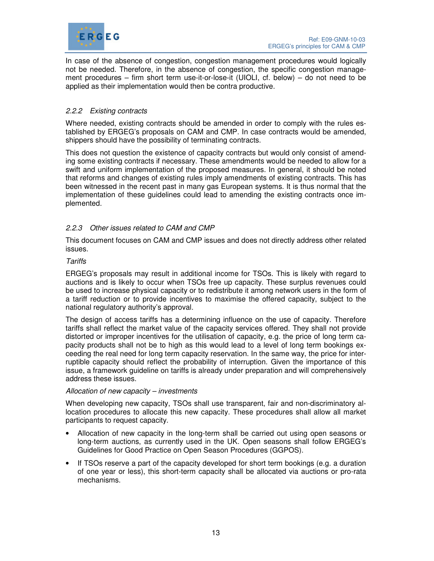

In case of the absence of congestion, congestion management procedures would logically not be needed. Therefore, in the absence of congestion, the specific congestion management procedures – firm short term use-it-or-lose-it (UIOLI, cf. below) – do not need to be applied as their implementation would then be contra productive.

## 2.2.2 Existing contracts

Where needed, existing contracts should be amended in order to comply with the rules established by ERGEG's proposals on CAM and CMP. In case contracts would be amended, shippers should have the possibility of terminating contracts.

This does not question the existence of capacity contracts but would only consist of amending some existing contracts if necessary. These amendments would be needed to allow for a swift and uniform implementation of the proposed measures. In general, it should be noted that reforms and changes of existing rules imply amendments of existing contracts. This has been witnessed in the recent past in many gas European systems. It is thus normal that the implementation of these guidelines could lead to amending the existing contracts once implemented.

## 2.2.3 Other issues related to CAM and CMP

This document focuses on CAM and CMP issues and does not directly address other related issues.

#### **Tariffs**

ERGEG's proposals may result in additional income for TSOs. This is likely with regard to auctions and is likely to occur when TSOs free up capacity. These surplus revenues could be used to increase physical capacity or to redistribute it among network users in the form of a tariff reduction or to provide incentives to maximise the offered capacity, subject to the national regulatory authority's approval.

The design of access tariffs has a determining influence on the use of capacity. Therefore tariffs shall reflect the market value of the capacity services offered. They shall not provide distorted or improper incentives for the utilisation of capacity, e.g. the price of long term capacity products shall not be to high as this would lead to a level of long term bookings exceeding the real need for long term capacity reservation. In the same way, the price for interruptible capacity should reflect the probability of interruption. Given the importance of this issue, a framework guideline on tariffs is already under preparation and will comprehensively address these issues.

#### Allocation of new capacity – investments

When developing new capacity, TSOs shall use transparent, fair and non-discriminatory allocation procedures to allocate this new capacity. These procedures shall allow all market participants to request capacity.

- Allocation of new capacity in the long-term shall be carried out using open seasons or long-term auctions, as currently used in the UK. Open seasons shall follow ERGEG's Guidelines for Good Practice on Open Season Procedures (GGPOS).
- If TSOs reserve a part of the capacity developed for short term bookings (e.g. a duration of one year or less), this short-term capacity shall be allocated via auctions or pro-rata mechanisms.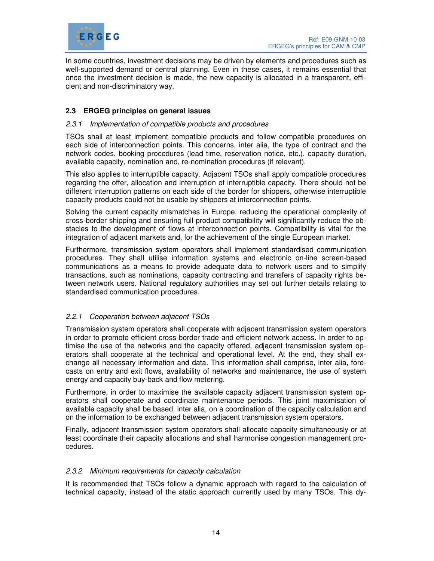

In some countries, investment decisions may be driven by elements and procedures such as well-supported demand or central planning. Even in these cases, it remains essential that once the investment decision is made, the new capacity is allocated in a transparent, efficient and non-discriminatory way.

## **2.3 ERGEG principles on general issues**

#### 2.3.1 Implementation of compatible products and procedures

TSOs shall at least implement compatible products and follow compatible procedures on each side of interconnection points. This concerns, inter alia, the type of contract and the network codes, booking procedures (lead time, reservation notice, etc.), capacity duration, available capacity, nomination and, re-nomination procedures (if relevant).

This also applies to interruptible capacity. Adjacent TSOs shall apply compatible procedures regarding the offer, allocation and interruption of interruptible capacity. There should not be different interruption patterns on each side of the border for shippers, otherwise interruptible capacity products could not be usable by shippers at interconnection points.

Solving the current capacity mismatches in Europe, reducing the operational complexity of cross-border shipping and ensuring full product compatibility will significantly reduce the obstacles to the development of flows at interconnection points. Compatibility is vital for the integration of adjacent markets and, for the achievement of the single European market.

Furthermore, transmission system operators shall implement standardised communication procedures. They shall utilise information systems and electronic on-line screen-based communications as a means to provide adequate data to network users and to simplify transactions, such as nominations, capacity contracting and transfers of capacity rights between network users. National regulatory authorities may set out further details relating to standardised communication procedures.

#### 2.2.1 Cooperation between adjacent TSOs

Transmission system operators shall cooperate with adjacent transmission system operators in order to promote efficient cross-border trade and efficient network access. In order to optimise the use of the networks and the capacity offered, adjacent transmission system operators shall cooperate at the technical and operational level. At the end, they shall exchange all necessary information and data. This information shall comprise, inter alia, forecasts on entry and exit flows, availability of networks and maintenance, the use of system energy and capacity buy-back and flow metering.

Furthermore, in order to maximise the available capacity adjacent transmission system operators shall cooperate and coordinate maintenance periods. This joint maximisation of available capacity shall be based, inter alia, on a coordination of the capacity calculation and on the information to be exchanged between adjacent transmission system operators.

Finally, adjacent transmission system operators shall allocate capacity simultaneously or at least coordinate their capacity allocations and shall harmonise congestion management procedures.

#### 2.3.2 Minimum requirements for capacity calculation

It is recommended that TSOs follow a dynamic approach with regard to the calculation of technical capacity, instead of the static approach currently used by many TSOs. This dy-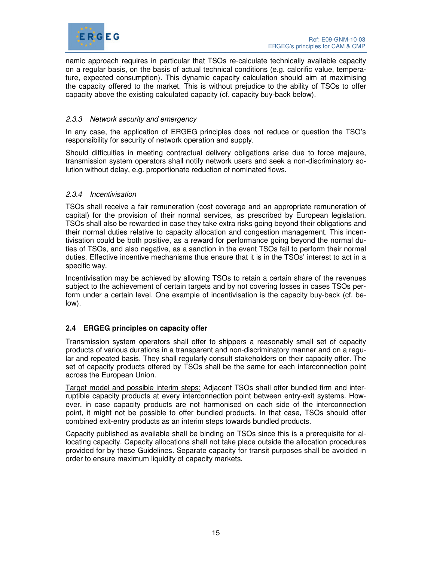

namic approach requires in particular that TSOs re-calculate technically available capacity on a regular basis, on the basis of actual technical conditions (e.g. calorific value, temperature, expected consumption). This dynamic capacity calculation should aim at maximising the capacity offered to the market. This is without prejudice to the ability of TSOs to offer capacity above the existing calculated capacity (cf. capacity buy-back below).

## 2.3.3 Network security and emergency

In any case, the application of ERGEG principles does not reduce or question the TSO's responsibility for security of network operation and supply.

Should difficulties in meeting contractual delivery obligations arise due to force majeure, transmission system operators shall notify network users and seek a non-discriminatory solution without delay, e.g. proportionate reduction of nominated flows.

#### 2.3.4 Incentivisation

TSOs shall receive a fair remuneration (cost coverage and an appropriate remuneration of capital) for the provision of their normal services, as prescribed by European legislation. TSOs shall also be rewarded in case they take extra risks going beyond their obligations and their normal duties relative to capacity allocation and congestion management. This incentivisation could be both positive, as a reward for performance going beyond the normal duties of TSOs, and also negative, as a sanction in the event TSOs fail to perform their normal duties. Effective incentive mechanisms thus ensure that it is in the TSOs' interest to act in a specific way.

Incentivisation may be achieved by allowing TSOs to retain a certain share of the revenues subject to the achievement of certain targets and by not covering losses in cases TSOs perform under a certain level. One example of incentivisation is the capacity buy-back (cf. below).

#### **2.4 ERGEG principles on capacity offer**

Transmission system operators shall offer to shippers a reasonably small set of capacity products of various durations in a transparent and non-discriminatory manner and on a regular and repeated basis. They shall regularly consult stakeholders on their capacity offer. The set of capacity products offered by TSOs shall be the same for each interconnection point across the European Union.

Target model and possible interim steps: Adjacent TSOs shall offer bundled firm and interruptible capacity products at every interconnection point between entry-exit systems. However, in case capacity products are not harmonised on each side of the interconnection point, it might not be possible to offer bundled products. In that case, TSOs should offer combined exit-entry products as an interim steps towards bundled products.

Capacity published as available shall be binding on TSOs since this is a prerequisite for allocating capacity. Capacity allocations shall not take place outside the allocation procedures provided for by these Guidelines. Separate capacity for transit purposes shall be avoided in order to ensure maximum liquidity of capacity markets.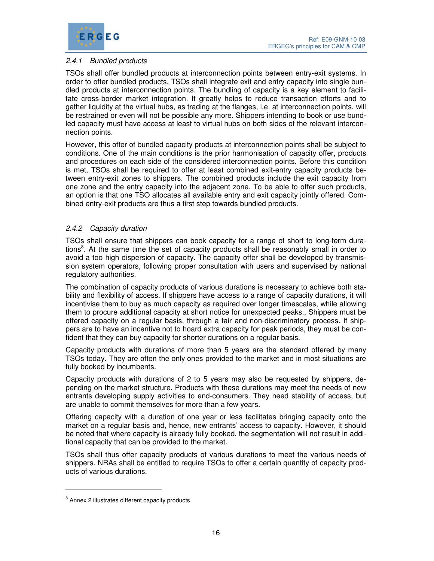

# 2.4.1 Bundled products

TSOs shall offer bundled products at interconnection points between entry-exit systems. In order to offer bundled products, TSOs shall integrate exit and entry capacity into single bundled products at interconnection points. The bundling of capacity is a key element to facilitate cross-border market integration. It greatly helps to reduce transaction efforts and to gather liquidity at the virtual hubs, as trading at the flanges, i.e. at interconnection points, will be restrained or even will not be possible any more. Shippers intending to book or use bundled capacity must have access at least to virtual hubs on both sides of the relevant interconnection points.

However, this offer of bundled capacity products at interconnection points shall be subject to conditions. One of the main conditions is the prior harmonisation of capacity offer, products and procedures on each side of the considered interconnection points. Before this condition is met, TSOs shall be required to offer at least combined exit-entry capacity products between entry-exit zones to shippers. The combined products include the exit capacity from one zone and the entry capacity into the adjacent zone. To be able to offer such products, an option is that one TSO allocates all available entry and exit capacity jointly offered. Combined entry-exit products are thus a first step towards bundled products.

## 2.4.2 Capacity duration

TSOs shall ensure that shippers can book capacity for a range of short to long-term durations<sup>8</sup>. At the same time the set of capacity products shall be reasonably small in order to avoid a too high dispersion of capacity. The capacity offer shall be developed by transmission system operators, following proper consultation with users and supervised by national regulatory authorities.

The combination of capacity products of various durations is necessary to achieve both stability and flexibility of access. If shippers have access to a range of capacity durations, it will incentivise them to buy as much capacity as required over longer timescales, while allowing them to procure additional capacity at short notice for unexpected peaks., Shippers must be offered capacity on a regular basis, through a fair and non-discriminatory process. If shippers are to have an incentive not to hoard extra capacity for peak periods, they must be confident that they can buy capacity for shorter durations on a regular basis.

Capacity products with durations of more than 5 years are the standard offered by many TSOs today. They are often the only ones provided to the market and in most situations are fully booked by incumbents.

Capacity products with durations of 2 to 5 years may also be requested by shippers, depending on the market structure. Products with these durations may meet the needs of new entrants developing supply activities to end-consumers. They need stability of access, but are unable to commit themselves for more than a few years.

Offering capacity with a duration of one year or less facilitates bringing capacity onto the market on a regular basis and, hence, new entrants' access to capacity. However, it should be noted that where capacity is already fully booked, the segmentation will not result in additional capacity that can be provided to the market.

TSOs shall thus offer capacity products of various durations to meet the various needs of shippers. NRAs shall be entitled to require TSOs to offer a certain quantity of capacity products of various durations.

 $\ddot{ }$ 

<sup>&</sup>lt;sup>8</sup> Annex 2 illustrates different capacity products.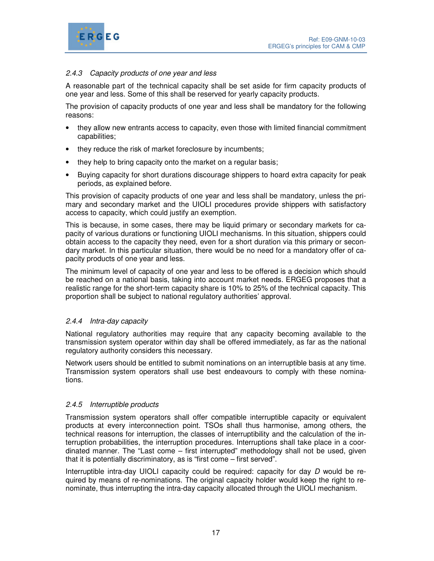

# 2.4.3 Capacity products of one year and less

A reasonable part of the technical capacity shall be set aside for firm capacity products of one year and less. Some of this shall be reserved for yearly capacity products.

The provision of capacity products of one year and less shall be mandatory for the following reasons:

- they allow new entrants access to capacity, even those with limited financial commitment capabilities;
- they reduce the risk of market foreclosure by incumbents;
- they help to bring capacity onto the market on a regular basis;
- Buying capacity for short durations discourage shippers to hoard extra capacity for peak periods, as explained before.

This provision of capacity products of one year and less shall be mandatory, unless the primary and secondary market and the UIOLI procedures provide shippers with satisfactory access to capacity, which could justify an exemption.

This is because, in some cases, there may be liquid primary or secondary markets for capacity of various durations or functioning UIOLI mechanisms. In this situation, shippers could obtain access to the capacity they need, even for a short duration via this primary or secondary market. In this particular situation, there would be no need for a mandatory offer of capacity products of one year and less.

The minimum level of capacity of one year and less to be offered is a decision which should be reached on a national basis, taking into account market needs. ERGEG proposes that a realistic range for the short-term capacity share is 10% to 25% of the technical capacity. This proportion shall be subject to national regulatory authorities' approval.

#### 2.4.4 Intra-day capacity

National regulatory authorities may require that any capacity becoming available to the transmission system operator within day shall be offered immediately, as far as the national regulatory authority considers this necessary.

Network users should be entitled to submit nominations on an interruptible basis at any time. Transmission system operators shall use best endeavours to comply with these nominations.

#### 2.4.5 Interruptible products

Transmission system operators shall offer compatible interruptible capacity or equivalent products at every interconnection point. TSOs shall thus harmonise, among others, the technical reasons for interruption, the classes of interruptibility and the calculation of the interruption probabilities, the interruption procedures. Interruptions shall take place in a coordinated manner. The "Last come – first interrupted" methodology shall not be used, given that it is potentially discriminatory, as is "first come – first served".

Interruptible intra-day UIOLI capacity could be required: capacity for day D would be required by means of re-nominations. The original capacity holder would keep the right to renominate, thus interrupting the intra-day capacity allocated through the UIOLI mechanism.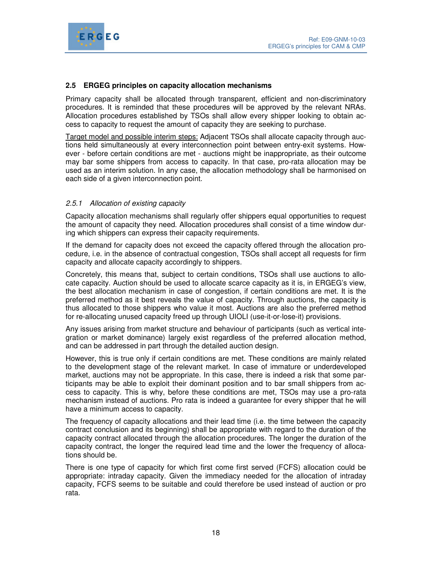

#### **2.5 ERGEG principles on capacity allocation mechanisms**

Primary capacity shall be allocated through transparent, efficient and non-discriminatory procedures. It is reminded that these procedures will be approved by the relevant NRAs. Allocation procedures established by TSOs shall allow every shipper looking to obtain access to capacity to request the amount of capacity they are seeking to purchase.

Target model and possible interim steps: Adjacent TSOs shall allocate capacity through auctions held simultaneously at every interconnection point between entry-exit systems. However - before certain conditions are met - auctions might be inappropriate, as their outcome may bar some shippers from access to capacity. In that case, pro-rata allocation may be used as an interim solution. In any case, the allocation methodology shall be harmonised on each side of a given interconnection point.

#### 2.5.1 Allocation of existing capacity

Capacity allocation mechanisms shall regularly offer shippers equal opportunities to request the amount of capacity they need. Allocation procedures shall consist of a time window during which shippers can express their capacity requirements.

If the demand for capacity does not exceed the capacity offered through the allocation procedure, i.e. in the absence of contractual congestion, TSOs shall accept all requests for firm capacity and allocate capacity accordingly to shippers.

Concretely, this means that, subject to certain conditions, TSOs shall use auctions to allocate capacity. Auction should be used to allocate scarce capacity as it is, in ERGEG's view, the best allocation mechanism in case of congestion, if certain conditions are met. It is the preferred method as it best reveals the value of capacity. Through auctions, the capacity is thus allocated to those shippers who value it most. Auctions are also the preferred method for re-allocating unused capacity freed up through UIOLI (use-it-or-lose-it) provisions.

Any issues arising from market structure and behaviour of participants (such as vertical integration or market dominance) largely exist regardless of the preferred allocation method, and can be addressed in part through the detailed auction design.

However, this is true only if certain conditions are met. These conditions are mainly related to the development stage of the relevant market. In case of immature or underdeveloped market, auctions may not be appropriate. In this case, there is indeed a risk that some participants may be able to exploit their dominant position and to bar small shippers from access to capacity. This is why, before these conditions are met, TSOs may use a pro-rata mechanism instead of auctions. Pro rata is indeed a guarantee for every shipper that he will have a minimum access to capacity.

The frequency of capacity allocations and their lead time (i.e. the time between the capacity contract conclusion and its beginning) shall be appropriate with regard to the duration of the capacity contract allocated through the allocation procedures. The longer the duration of the capacity contract, the longer the required lead time and the lower the frequency of allocations should be.

There is one type of capacity for which first come first served (FCFS) allocation could be appropriate: intraday capacity. Given the immediacy needed for the allocation of intraday capacity, FCFS seems to be suitable and could therefore be used instead of auction or pro rata.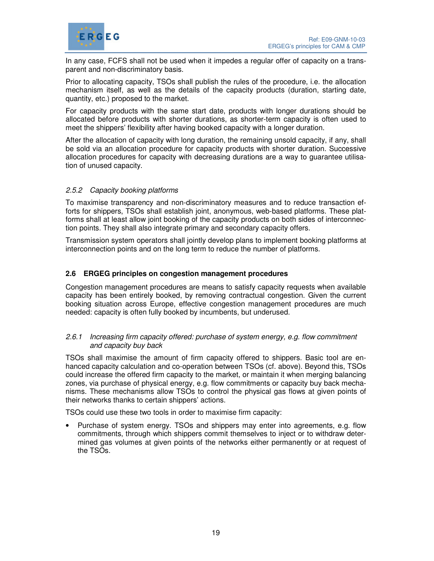

In any case, FCFS shall not be used when it impedes a regular offer of capacity on a transparent and non-discriminatory basis.

Prior to allocating capacity, TSOs shall publish the rules of the procedure, i.e. the allocation mechanism itself, as well as the details of the capacity products (duration, starting date, quantity, etc.) proposed to the market.

For capacity products with the same start date, products with longer durations should be allocated before products with shorter durations, as shorter-term capacity is often used to meet the shippers' flexibility after having booked capacity with a longer duration.

After the allocation of capacity with long duration, the remaining unsold capacity, if any, shall be sold via an allocation procedure for capacity products with shorter duration. Successive allocation procedures for capacity with decreasing durations are a way to guarantee utilisation of unused capacity.

#### 2.5.2 Capacity booking platforms

To maximise transparency and non-discriminatory measures and to reduce transaction efforts for shippers, TSOs shall establish joint, anonymous, web-based platforms. These platforms shall at least allow joint booking of the capacity products on both sides of interconnection points. They shall also integrate primary and secondary capacity offers.

Transmission system operators shall jointly develop plans to implement booking platforms at interconnection points and on the long term to reduce the number of platforms.

#### **2.6 ERGEG principles on congestion management procedures**

Congestion management procedures are means to satisfy capacity requests when available capacity has been entirely booked, by removing contractual congestion. Given the current booking situation across Europe, effective congestion management procedures are much needed: capacity is often fully booked by incumbents, but underused.

#### 2.6.1 Increasing firm capacity offered: purchase of system energy, e.g. flow commitment and capacity buy back

TSOs shall maximise the amount of firm capacity offered to shippers. Basic tool are enhanced capacity calculation and co-operation between TSOs (cf. above). Beyond this, TSOs could increase the offered firm capacity to the market, or maintain it when merging balancing zones, via purchase of physical energy, e.g. flow commitments or capacity buy back mechanisms. These mechanisms allow TSOs to control the physical gas flows at given points of their networks thanks to certain shippers' actions.

TSOs could use these two tools in order to maximise firm capacity:

• Purchase of system energy. TSOs and shippers may enter into agreements, e.g. flow commitments, through which shippers commit themselves to inject or to withdraw determined gas volumes at given points of the networks either permanently or at request of the TSOs.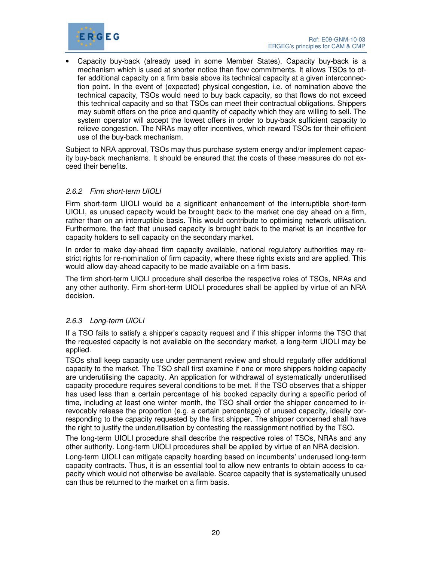

• Capacity buy-back (already used in some Member States). Capacity buy-back is a mechanism which is used at shorter notice than flow commitments. It allows TSOs to offer additional capacity on a firm basis above its technical capacity at a given interconnection point. In the event of (expected) physical congestion, i.e. of nomination above the technical capacity, TSOs would need to buy back capacity, so that flows do not exceed this technical capacity and so that TSOs can meet their contractual obligations. Shippers may submit offers on the price and quantity of capacity which they are willing to sell. The system operator will accept the lowest offers in order to buy-back sufficient capacity to relieve congestion. The NRAs may offer incentives, which reward TSOs for their efficient use of the buy-back mechanism.

Subject to NRA approval, TSOs may thus purchase system energy and/or implement capacity buy-back mechanisms. It should be ensured that the costs of these measures do not exceed their benefits.

## 2.6.2 Firm short-term UIOLI

Firm short-term UIOLI would be a significant enhancement of the interruptible short-term UIOLI, as unused capacity would be brought back to the market one day ahead on a firm, rather than on an interruptible basis. This would contribute to optimising network utilisation. Furthermore, the fact that unused capacity is brought back to the market is an incentive for capacity holders to sell capacity on the secondary market.

In order to make day-ahead firm capacity available, national regulatory authorities may restrict rights for re-nomination of firm capacity, where these rights exists and are applied. This would allow day-ahead capacity to be made available on a firm basis.

The firm short-term UIOLI procedure shall describe the respective roles of TSOs, NRAs and any other authority. Firm short-term UIOLI procedures shall be applied by virtue of an NRA decision.

#### 2.6.3 Long-term UIOLI

If a TSO fails to satisfy a shipper's capacity request and if this shipper informs the TSO that the requested capacity is not available on the secondary market, a long-term UIOLI may be applied.

TSOs shall keep capacity use under permanent review and should regularly offer additional capacity to the market. The TSO shall first examine if one or more shippers holding capacity are underutilising the capacity. An application for withdrawal of systematically underutilised capacity procedure requires several conditions to be met. If the TSO observes that a shipper has used less than a certain percentage of his booked capacity during a specific period of time, including at least one winter month, the TSO shall order the shipper concerned to irrevocably release the proportion (e.g. a certain percentage) of unused capacity, ideally corresponding to the capacity requested by the first shipper. The shipper concerned shall have the right to justify the underutilisation by contesting the reassignment notified by the TSO.

The long-term UIOLI procedure shall describe the respective roles of TSOs, NRAs and any other authority. Long-term UIOLI procedures shall be applied by virtue of an NRA decision.

Long-term UIOLI can mitigate capacity hoarding based on incumbents' underused long-term capacity contracts. Thus, it is an essential tool to allow new entrants to obtain access to capacity which would not otherwise be available. Scarce capacity that is systematically unused can thus be returned to the market on a firm basis.